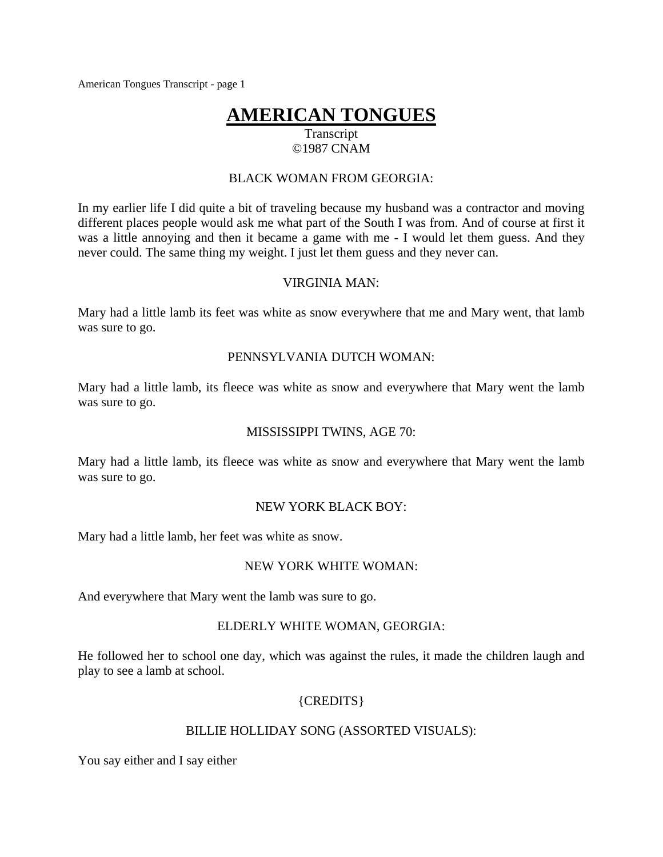# **AMERICAN TONGUES**

# Transcript ©1987 CNAM

### BLACK WOMAN FROM GEORGIA:

In my earlier life I did quite a bit of traveling because my husband was a contractor and moving different places people would ask me what part of the South I was from. And of course at first it was a little annoying and then it became a game with me - I would let them guess. And they never could. The same thing my weight. I just let them guess and they never can.

#### VIRGINIA MAN:

Mary had a little lamb its feet was white as snow everywhere that me and Mary went, that lamb was sure to go.

#### PENNSYLVANIA DUTCH WOMAN:

Mary had a little lamb, its fleece was white as snow and everywhere that Mary went the lamb was sure to go.

#### MISSISSIPPI TWINS, AGE 70:

Mary had a little lamb, its fleece was white as snow and everywhere that Mary went the lamb was sure to go.

#### NEW YORK BLACK BOY:

Mary had a little lamb, her feet was white as snow.

### NEW YORK WHITE WOMAN:

And everywhere that Mary went the lamb was sure to go.

### ELDERLY WHITE WOMAN, GEORGIA:

He followed her to school one day, which was against the rules, it made the children laugh and play to see a lamb at school.

### {CREDITS}

### BILLIE HOLLIDAY SONG (ASSORTED VISUALS):

You say either and I say either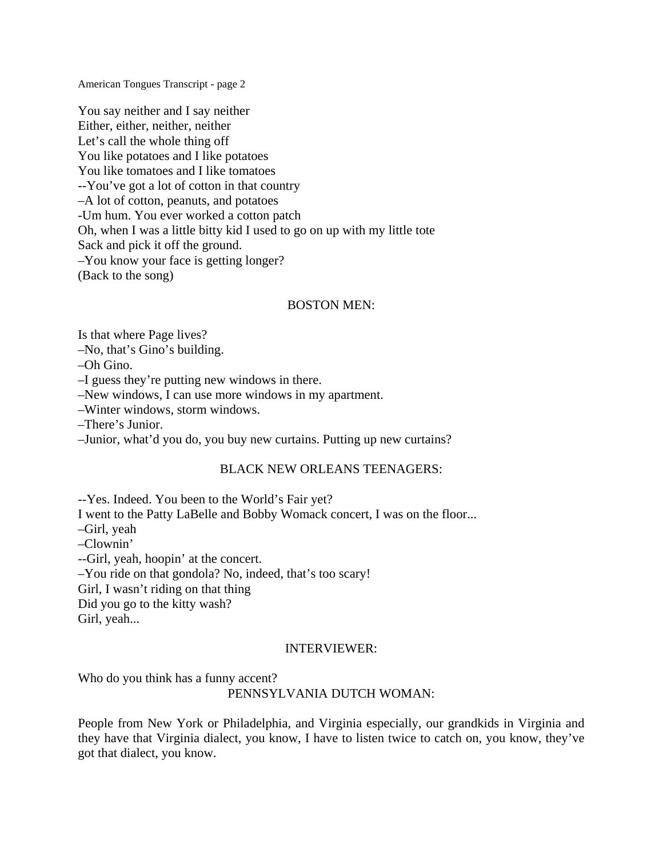You say neither and I say neither Either, either, neither, neither Let's call the whole thing off You like potatoes and I like potatoes You like tomatoes and I like tomatoes --You've got a lot of cotton in that country –A lot of cotton, peanuts, and potatoes -Um hum. You ever worked a cotton patch Oh, when I was a little bitty kid I used to go on up with my little tote Sack and pick it off the ground. –You know your face is getting longer? (Back to the song)

### BOSTON MEN:

Is that where Page lives?

–No, that's Gino's building.

–Oh Gino.

–I guess they're putting new windows in there.

–New windows, I can use more windows in my apartment.

–Winter windows, storm windows.

–There's Junior.

–Junior, what'd you do, you buy new curtains. Putting up new curtains?

# BLACK NEW ORLEANS TEENAGERS:

--Yes. Indeed. You been to the World's Fair yet?

I went to the Patty LaBelle and Bobby Womack concert, I was on the floor...

–Girl, yeah

–Clownin'

--Girl, yeah, hoopin' at the concert.

–You ride on that gondola? No, indeed, that's too scary!

Girl, I wasn't riding on that thing

Did you go to the kitty wash?

Girl, yeah...

# INTERVIEWER:

Who do you think has a funny accent?

PENNSYLVANIA DUTCH WOMAN:

People from New York or Philadelphia, and Virginia especially, our grandkids in Virginia and they have that Virginia dialect, you know, I have to listen twice to catch on, you know, they've got that dialect, you know.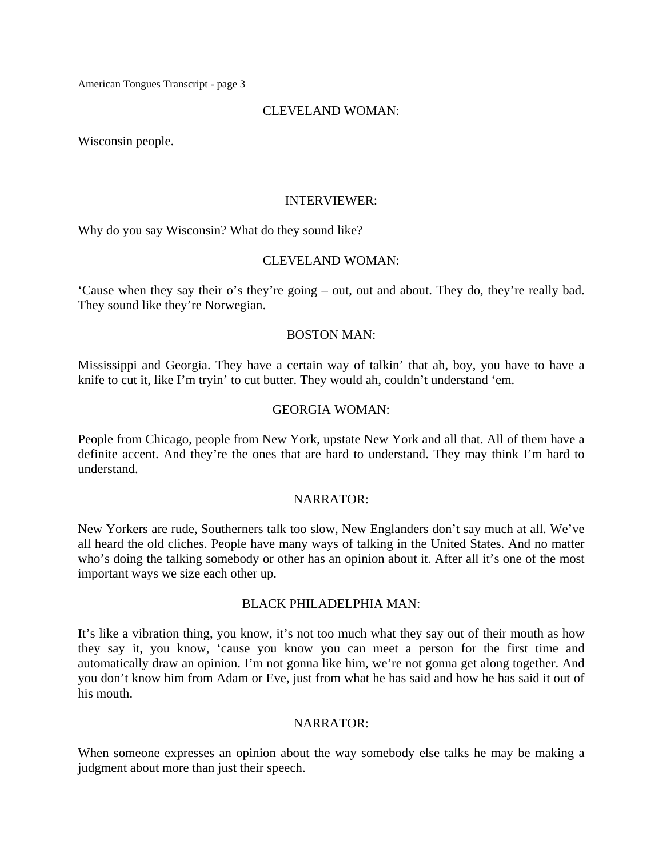#### CLEVELAND WOMAN:

Wisconsin people.

#### INTERVIEWER:

Why do you say Wisconsin? What do they sound like?

### CLEVELAND WOMAN:

'Cause when they say their o's they're going – out, out and about. They do, they're really bad. They sound like they're Norwegian.

#### BOSTON MAN:

Mississippi and Georgia. They have a certain way of talkin' that ah, boy, you have to have a knife to cut it, like I'm tryin' to cut butter. They would ah, couldn't understand 'em.

#### GEORGIA WOMAN:

People from Chicago, people from New York, upstate New York and all that. All of them have a definite accent. And they're the ones that are hard to understand. They may think I'm hard to understand.

#### NARRATOR:

New Yorkers are rude, Southerners talk too slow, New Englanders don't say much at all. We've all heard the old cliches. People have many ways of talking in the United States. And no matter who's doing the talking somebody or other has an opinion about it. After all it's one of the most important ways we size each other up.

### BLACK PHILADELPHIA MAN:

It's like a vibration thing, you know, it's not too much what they say out of their mouth as how they say it, you know, 'cause you know you can meet a person for the first time and automatically draw an opinion. I'm not gonna like him, we're not gonna get along together. And you don't know him from Adam or Eve, just from what he has said and how he has said it out of his mouth.

### NARRATOR:

When someone expresses an opinion about the way somebody else talks he may be making a judgment about more than just their speech.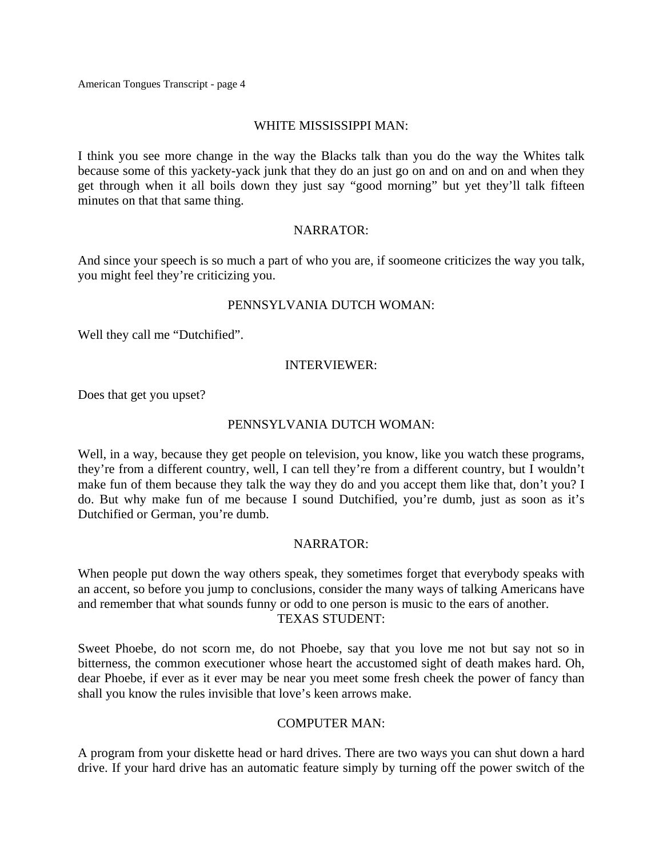### WHITE MISSISSIPPI MAN:

I think you see more change in the way the Blacks talk than you do the way the Whites talk because some of this yackety-yack junk that they do an just go on and on and on and when they get through when it all boils down they just say "good morning" but yet they'll talk fifteen minutes on that that same thing.

### NARRATOR:

And since your speech is so much a part of who you are, if soomeone criticizes the way you talk, you might feel they're criticizing you.

### PENNSYLVANIA DUTCH WOMAN:

Well they call me "Dutchified".

### INTERVIEWER:

Does that get you upset?

### PENNSYLVANIA DUTCH WOMAN:

Well, in a way, because they get people on television, you know, like you watch these programs, they're from a different country, well, I can tell they're from a different country, but I wouldn't make fun of them because they talk the way they do and you accept them like that, don't you? I do. But why make fun of me because I sound Dutchified, you're dumb, just as soon as it's Dutchified or German, you're dumb.

### NARRATOR:

When people put down the way others speak, they sometimes forget that everybody speaks with an accent, so before you jump to conclusions, consider the many ways of talking Americans have and remember that what sounds funny or odd to one person is music to the ears of another. TEXAS STUDENT:

Sweet Phoebe, do not scorn me, do not Phoebe, say that you love me not but say not so in bitterness, the common executioner whose heart the accustomed sight of death makes hard. Oh, dear Phoebe, if ever as it ever may be near you meet some fresh cheek the power of fancy than shall you know the rules invisible that love's keen arrows make.

# COMPUTER MAN:

A program from your diskette head or hard drives. There are two ways you can shut down a hard drive. If your hard drive has an automatic feature simply by turning off the power switch of the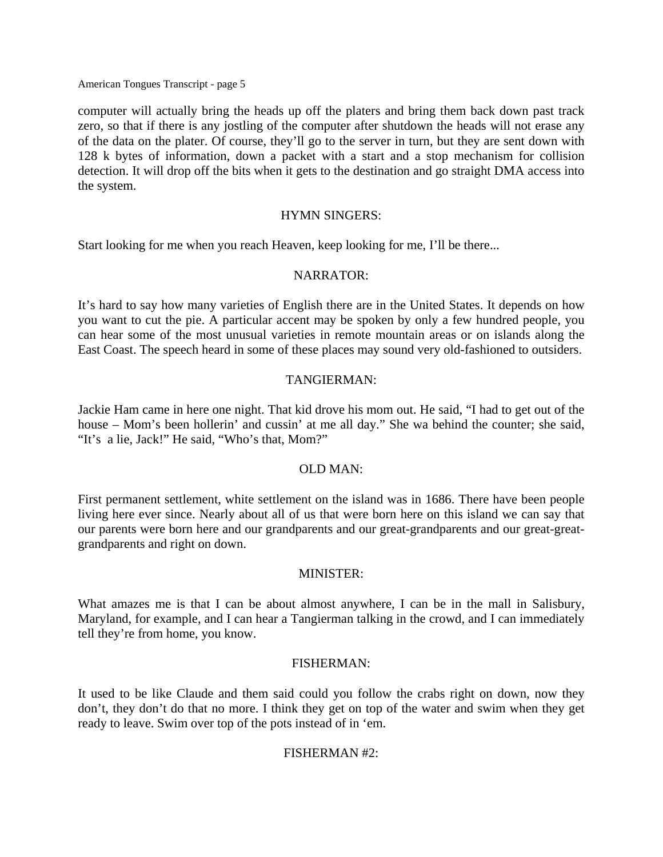computer will actually bring the heads up off the platers and bring them back down past track zero, so that if there is any jostling of the computer after shutdown the heads will not erase any of the data on the plater. Of course, they'll go to the server in turn, but they are sent down with 128 k bytes of information, down a packet with a start and a stop mechanism for collision detection. It will drop off the bits when it gets to the destination and go straight DMA access into the system.

#### HYMN SINGERS:

Start looking for me when you reach Heaven, keep looking for me, I'll be there...

#### NARRATOR:

It's hard to say how many varieties of English there are in the United States. It depends on how you want to cut the pie. A particular accent may be spoken by only a few hundred people, you can hear some of the most unusual varieties in remote mountain areas or on islands along the East Coast. The speech heard in some of these places may sound very old-fashioned to outsiders.

#### TANGIERMAN:

Jackie Ham came in here one night. That kid drove his mom out. He said, "I had to get out of the house – Mom's been hollerin' and cussin' at me all day." She wa behind the counter; she said, "It's a lie, Jack!" He said, "Who's that, Mom?"

# OLD MAN:

First permanent settlement, white settlement on the island was in 1686. There have been people living here ever since. Nearly about all of us that were born here on this island we can say that our parents were born here and our grandparents and our great-grandparents and our great-greatgrandparents and right on down.

#### MINISTER:

What amazes me is that I can be about almost anywhere, I can be in the mall in Salisbury, Maryland, for example, and I can hear a Tangierman talking in the crowd, and I can immediately tell they're from home, you know.

### FISHERMAN:

It used to be like Claude and them said could you follow the crabs right on down, now they don't, they don't do that no more. I think they get on top of the water and swim when they get ready to leave. Swim over top of the pots instead of in 'em.

### FISHERMAN #2: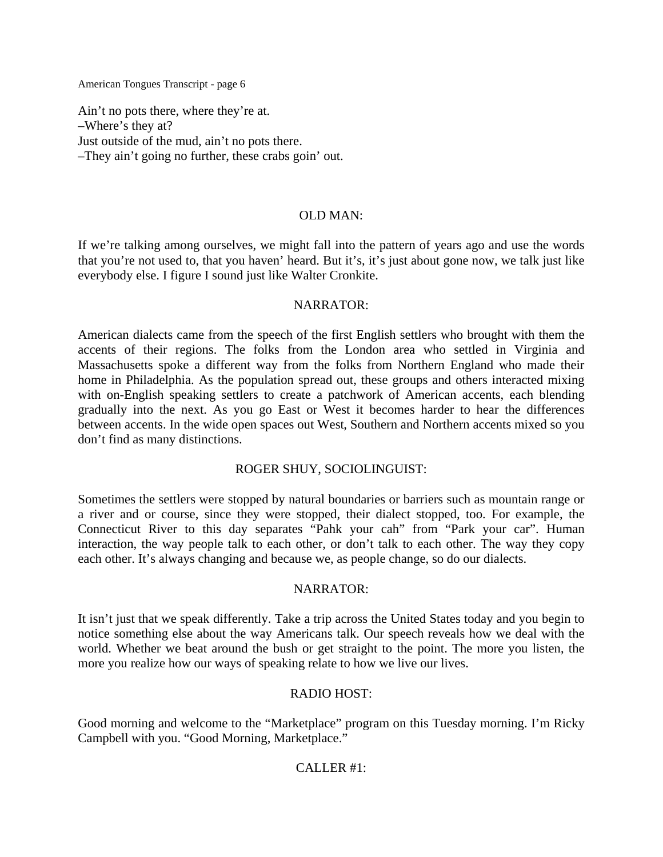Ain't no pots there, where they're at. –Where's they at? Just outside of the mud, ain't no pots there. –They ain't going no further, these crabs goin' out.

### OLD MAN:

If we're talking among ourselves, we might fall into the pattern of years ago and use the words that you're not used to, that you haven' heard. But it's, it's just about gone now, we talk just like everybody else. I figure I sound just like Walter Cronkite.

#### NARRATOR:

American dialects came from the speech of the first English settlers who brought with them the accents of their regions. The folks from the London area who settled in Virginia and Massachusetts spoke a different way from the folks from Northern England who made their home in Philadelphia. As the population spread out, these groups and others interacted mixing with on-English speaking settlers to create a patchwork of American accents, each blending gradually into the next. As you go East or West it becomes harder to hear the differences between accents. In the wide open spaces out West, Southern and Northern accents mixed so you don't find as many distinctions.

### ROGER SHUY, SOCIOLINGUIST:

Sometimes the settlers were stopped by natural boundaries or barriers such as mountain range or a river and or course, since they were stopped, their dialect stopped, too. For example, the Connecticut River to this day separates "Pahk your cah" from "Park your car". Human interaction, the way people talk to each other, or don't talk to each other. The way they copy each other. It's always changing and because we, as people change, so do our dialects.

### NARRATOR:

It isn't just that we speak differently. Take a trip across the United States today and you begin to notice something else about the way Americans talk. Our speech reveals how we deal with the world. Whether we beat around the bush or get straight to the point. The more you listen, the more you realize how our ways of speaking relate to how we live our lives.

### RADIO HOST:

Good morning and welcome to the "Marketplace" program on this Tuesday morning. I'm Ricky Campbell with you. "Good Morning, Marketplace."

### CALLER #1: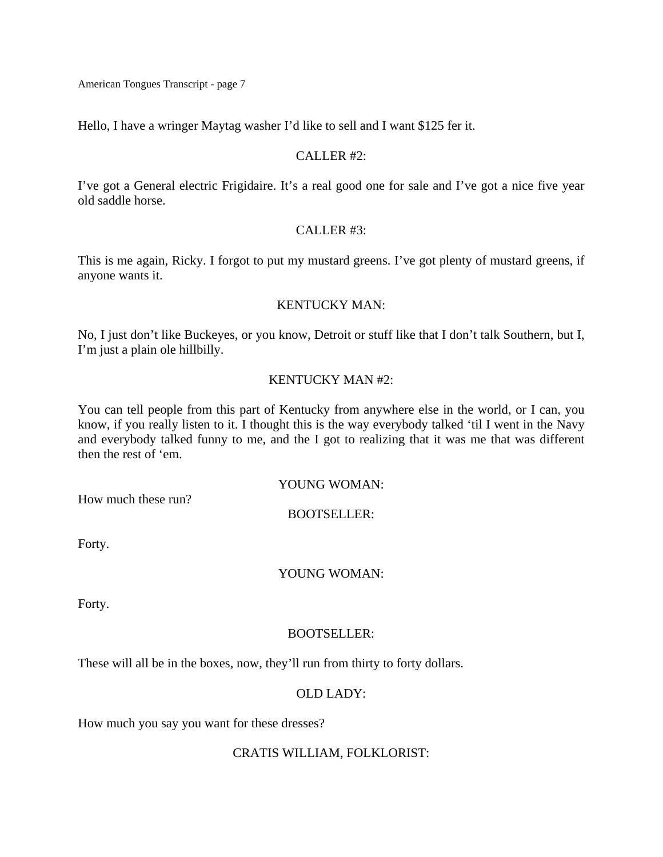Hello, I have a wringer Maytag washer I'd like to sell and I want \$125 fer it.

#### CALLER #2:

I've got a General electric Frigidaire. It's a real good one for sale and I've got a nice five year old saddle horse.

#### CALLER #3:

This is me again, Ricky. I forgot to put my mustard greens. I've got plenty of mustard greens, if anyone wants it.

#### KENTUCKY MAN:

No, I just don't like Buckeyes, or you know, Detroit or stuff like that I don't talk Southern, but I, I'm just a plain ole hillbilly.

### KENTUCKY MAN #2:

You can tell people from this part of Kentucky from anywhere else in the world, or I can, you know, if you really listen to it. I thought this is the way everybody talked 'til I went in the Navy and everybody talked funny to me, and the I got to realizing that it was me that was different then the rest of 'em.

### YOUNG WOMAN:

How much these run?

### BOOTSELLER:

Forty.

### YOUNG WOMAN:

Forty.

### BOOTSELLER:

These will all be in the boxes, now, they'll run from thirty to forty dollars.

### OLD LADY:

How much you say you want for these dresses?

### CRATIS WILLIAM, FOLKLORIST: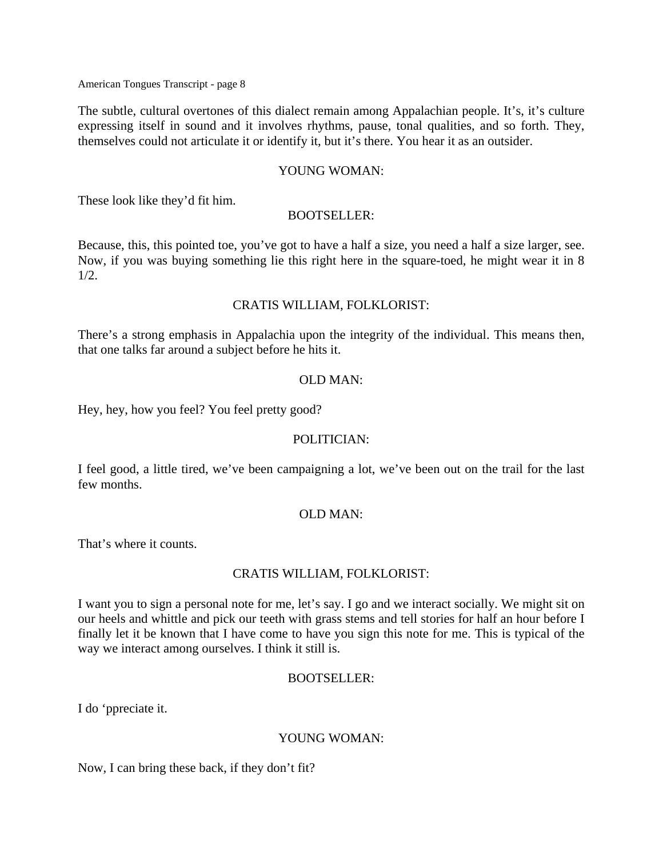The subtle, cultural overtones of this dialect remain among Appalachian people. It's, it's culture expressing itself in sound and it involves rhythms, pause, tonal qualities, and so forth. They, themselves could not articulate it or identify it, but it's there. You hear it as an outsider.

#### YOUNG WOMAN:

These look like they'd fit him.

#### BOOTSELLER:

Because, this, this pointed toe, you've got to have a half a size, you need a half a size larger, see. Now, if you was buying something lie this right here in the square-toed, he might wear it in 8  $1/2$ .

#### CRATIS WILLIAM, FOLKLORIST:

There's a strong emphasis in Appalachia upon the integrity of the individual. This means then, that one talks far around a subject before he hits it.

#### OLD MAN:

Hey, hey, how you feel? You feel pretty good?

### POLITICIAN:

I feel good, a little tired, we've been campaigning a lot, we've been out on the trail for the last few months.

### OLD MAN:

That's where it counts.

### CRATIS WILLIAM, FOLKLORIST:

I want you to sign a personal note for me, let's say. I go and we interact socially. We might sit on our heels and whittle and pick our teeth with grass stems and tell stories for half an hour before I finally let it be known that I have come to have you sign this note for me. This is typical of the way we interact among ourselves. I think it still is.

### BOOTSELLER:

I do 'ppreciate it.

### YOUNG WOMAN:

Now, I can bring these back, if they don't fit?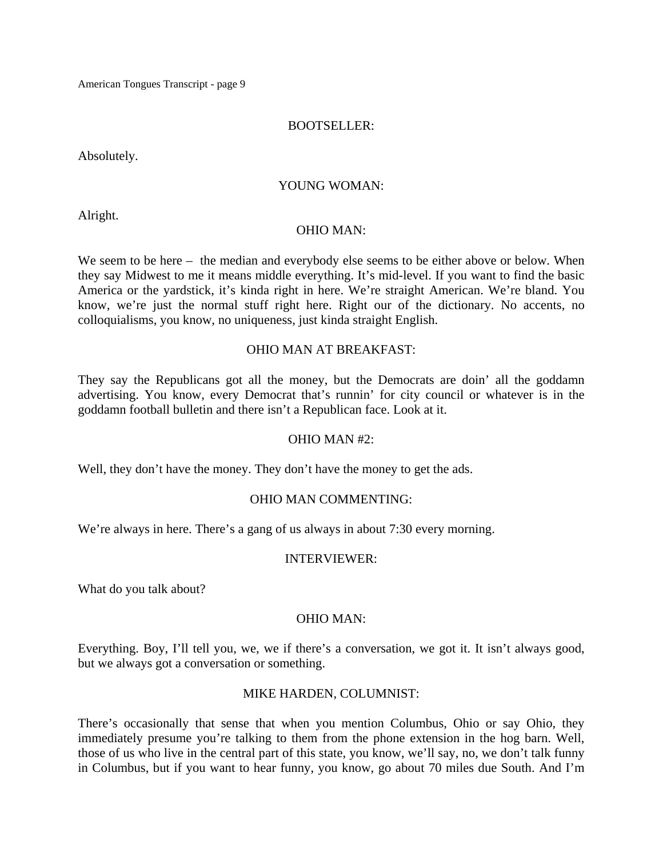#### BOOTSELLER:

Absolutely.

#### YOUNG WOMAN:

Alright.

#### OHIO MAN:

We seem to be here – the median and everybody else seems to be either above or below. When they say Midwest to me it means middle everything. It's mid-level. If you want to find the basic America or the yardstick, it's kinda right in here. We're straight American. We're bland. You know, we're just the normal stuff right here. Right our of the dictionary. No accents, no colloquialisms, you know, no uniqueness, just kinda straight English.

#### OHIO MAN AT BREAKFAST:

They say the Republicans got all the money, but the Democrats are doin' all the goddamn advertising. You know, every Democrat that's runnin' for city council or whatever is in the goddamn football bulletin and there isn't a Republican face. Look at it.

### OHIO MAN #2:

Well, they don't have the money. They don't have the money to get the ads.

### OHIO MAN COMMENTING:

We're always in here. There's a gang of us always in about 7:30 every morning.

#### INTERVIEWER:

What do you talk about?

### OHIO MAN:

Everything. Boy, I'll tell you, we, we if there's a conversation, we got it. It isn't always good, but we always got a conversation or something.

### MIKE HARDEN, COLUMNIST:

There's occasionally that sense that when you mention Columbus, Ohio or say Ohio, they immediately presume you're talking to them from the phone extension in the hog barn. Well, those of us who live in the central part of this state, you know, we'll say, no, we don't talk funny in Columbus, but if you want to hear funny, you know, go about 70 miles due South. And I'm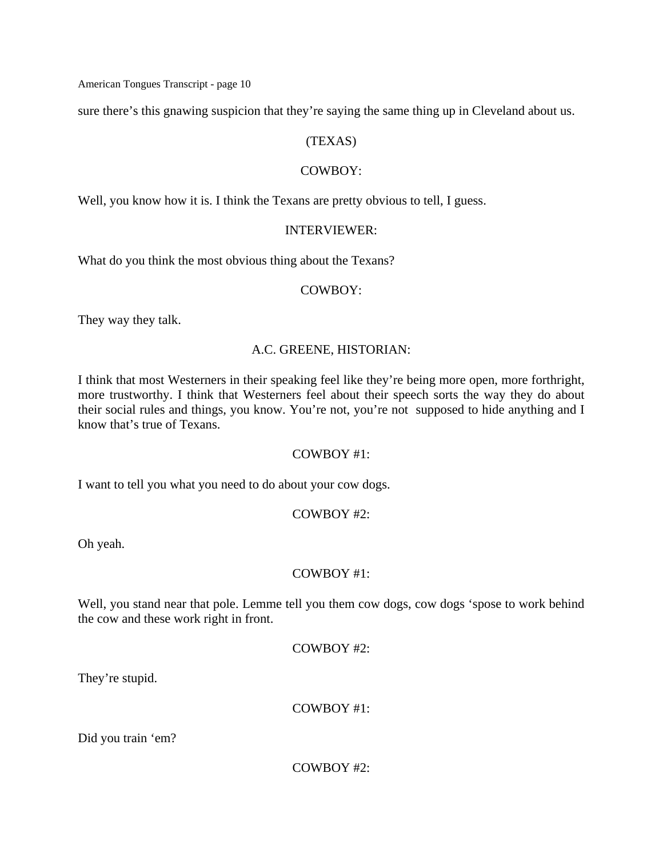sure there's this gnawing suspicion that they're saying the same thing up in Cleveland about us.

# (TEXAS)

### COWBOY:

Well, you know how it is. I think the Texans are pretty obvious to tell, I guess.

#### INTERVIEWER:

What do you think the most obvious thing about the Texans?

#### COWBOY:

They way they talk.

### A.C. GREENE, HISTORIAN:

I think that most Westerners in their speaking feel like they're being more open, more forthright, more trustworthy. I think that Westerners feel about their speech sorts the way they do about their social rules and things, you know. You're not, you're not supposed to hide anything and I know that's true of Texans.

#### COWBOY #1:

I want to tell you what you need to do about your cow dogs.

### COWBOY #2:

Oh yeah.

### COWBOY #1:

Well, you stand near that pole. Lemme tell you them cow dogs, cow dogs 'spose to work behind the cow and these work right in front.

COWBOY #2:

They're stupid.

COWBOY #1:

Did you train 'em?

COWBOY #2: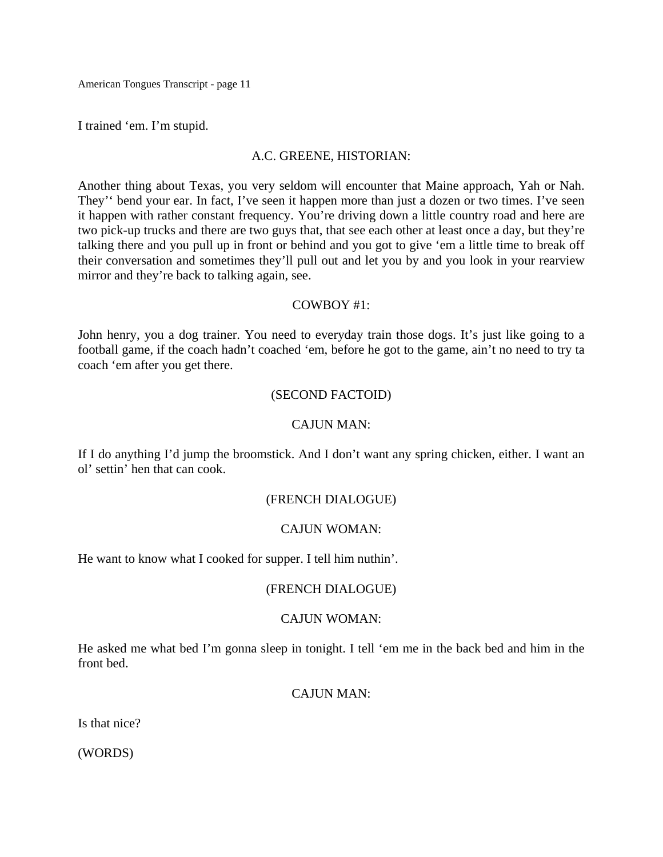I trained 'em. I'm stupid.

#### A.C. GREENE, HISTORIAN:

Another thing about Texas, you very seldom will encounter that Maine approach, Yah or Nah. They'' bend your ear. In fact, I've seen it happen more than just a dozen or two times. I've seen it happen with rather constant frequency. You're driving down a little country road and here are two pick-up trucks and there are two guys that, that see each other at least once a day, but they're talking there and you pull up in front or behind and you got to give 'em a little time to break off their conversation and sometimes they'll pull out and let you by and you look in your rearview mirror and they're back to talking again, see.

#### COWBOY #1:

John henry, you a dog trainer. You need to everyday train those dogs. It's just like going to a football game, if the coach hadn't coached 'em, before he got to the game, ain't no need to try ta coach 'em after you get there.

### (SECOND FACTOID)

#### CAJUN MAN:

If I do anything I'd jump the broomstick. And I don't want any spring chicken, either. I want an ol' settin' hen that can cook.

### (FRENCH DIALOGUE)

### CAJUN WOMAN:

He want to know what I cooked for supper. I tell him nuthin'.

### (FRENCH DIALOGUE)

### CAJUN WOMAN:

He asked me what bed I'm gonna sleep in tonight. I tell 'em me in the back bed and him in the front bed.

# CAJUN MAN:

Is that nice?

(WORDS)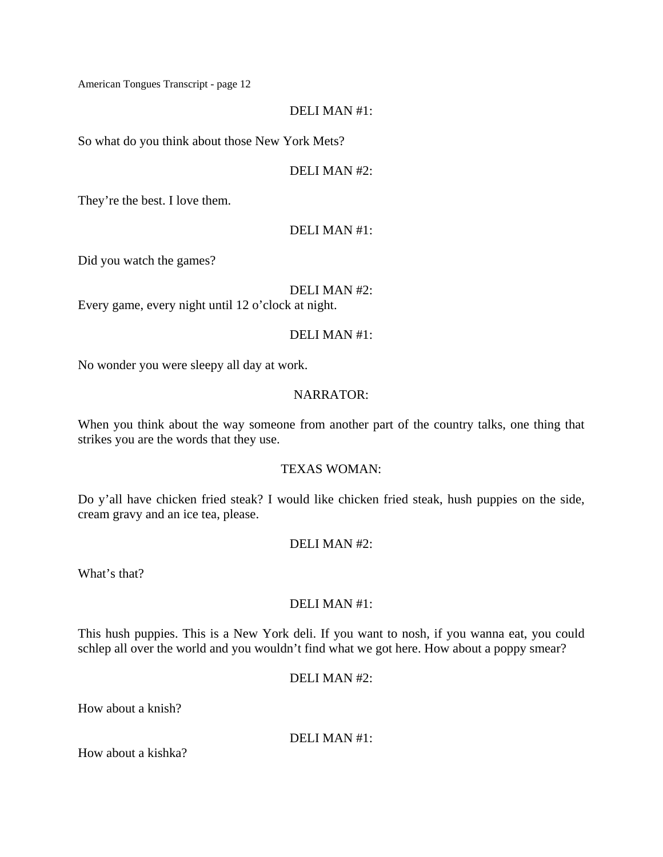#### DELI MAN #1:

So what do you think about those New York Mets?

#### DELI MAN #2:

They're the best. I love them.

#### DELI MAN #1:

Did you watch the games?

DELI MAN #2:

Every game, every night until 12 o'clock at night.

#### DELI MAN #1:

No wonder you were sleepy all day at work.

#### NARRATOR:

When you think about the way someone from another part of the country talks, one thing that strikes you are the words that they use.

### TEXAS WOMAN:

Do y'all have chicken fried steak? I would like chicken fried steak, hush puppies on the side, cream gravy and an ice tea, please.

### DELI MAN #2:

What's that?

### DELI MAN #1:

This hush puppies. This is a New York deli. If you want to nosh, if you wanna eat, you could schlep all over the world and you wouldn't find what we got here. How about a poppy smear?

# DELI MAN #2:

How about a knish?

DELI MAN #1:

How about a kishka?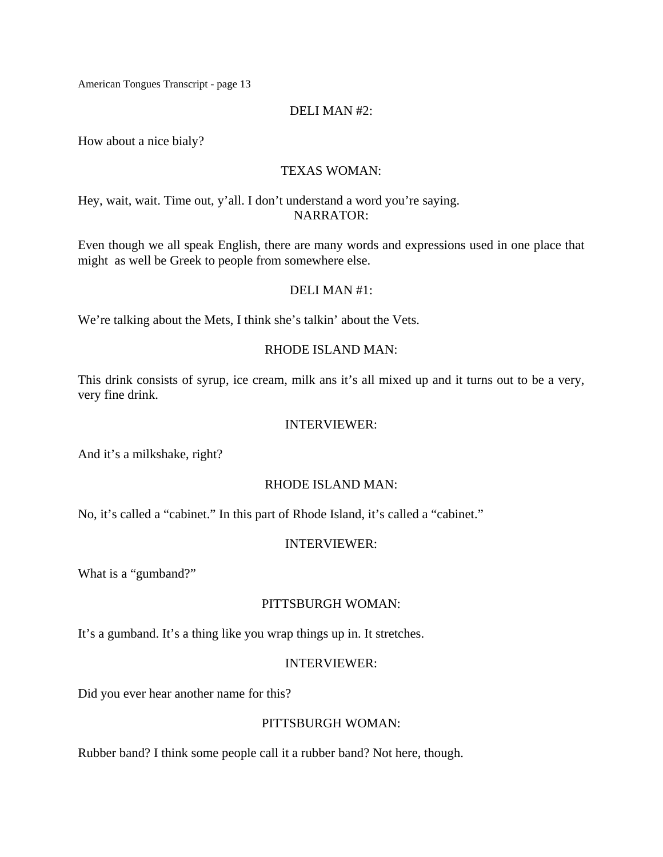#### DELI MAN #2:

How about a nice bialy?

#### TEXAS WOMAN:

Hey, wait, wait. Time out, y'all. I don't understand a word you're saying. NARRATOR:

Even though we all speak English, there are many words and expressions used in one place that might as well be Greek to people from somewhere else.

#### DELI MAN #1:

We're talking about the Mets, I think she's talkin' about the Vets.

#### RHODE ISLAND MAN:

This drink consists of syrup, ice cream, milk ans it's all mixed up and it turns out to be a very, very fine drink.

#### INTERVIEWER:

And it's a milkshake, right?

### RHODE ISLAND MAN:

No, it's called a "cabinet." In this part of Rhode Island, it's called a "cabinet."

#### INTERVIEWER:

What is a "gumband?"

#### PITTSBURGH WOMAN:

It's a gumband. It's a thing like you wrap things up in. It stretches.

#### INTERVIEWER:

Did you ever hear another name for this?

### PITTSBURGH WOMAN:

Rubber band? I think some people call it a rubber band? Not here, though.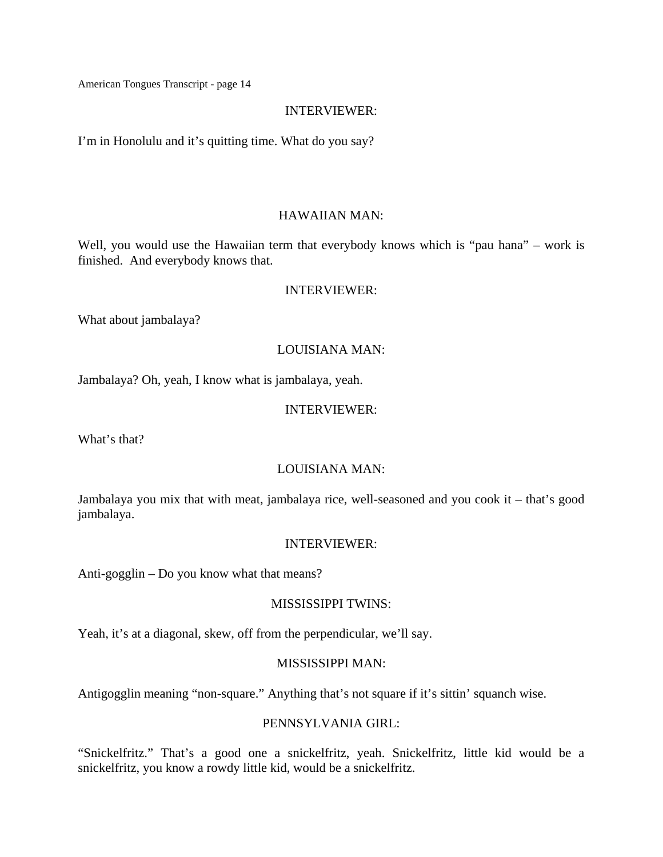#### INTERVIEWER:

I'm in Honolulu and it's quitting time. What do you say?

#### HAWAIIAN MAN:

Well, you would use the Hawaiian term that everybody knows which is "pau hana" – work is finished. And everybody knows that.

#### INTERVIEWER:

What about jambalaya?

#### LOUISIANA MAN:

Jambalaya? Oh, yeah, I know what is jambalaya, yeah.

#### INTERVIEWER:

What's that?

### LOUISIANA MAN:

Jambalaya you mix that with meat, jambalaya rice, well-seasoned and you cook it – that's good jambalaya.

#### INTERVIEWER:

Anti-gogglin – Do you know what that means?

#### MISSISSIPPI TWINS:

Yeah, it's at a diagonal, skew, off from the perpendicular, we'll say.

#### MISSISSIPPI MAN:

Antigogglin meaning "non-square." Anything that's not square if it's sittin' squanch wise.

# PENNSYLVANIA GIRL:

"Snickelfritz." That's a good one a snickelfritz, yeah. Snickelfritz, little kid would be a snickelfritz, you know a rowdy little kid, would be a snickelfritz.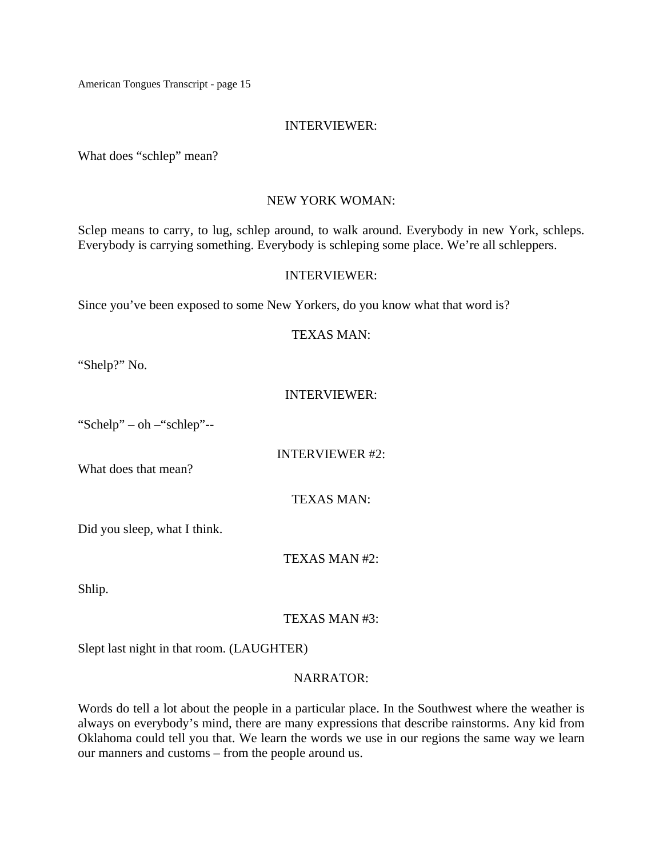#### INTERVIEWER:

What does "schlep" mean?

#### NEW YORK WOMAN:

Sclep means to carry, to lug, schlep around, to walk around. Everybody in new York, schleps. Everybody is carrying something. Everybody is schleping some place. We're all schleppers.

#### INTERVIEWER:

Since you've been exposed to some New Yorkers, do you know what that word is?

#### TEXAS MAN:

"Shelp?" No.

### INTERVIEWER:

"Schelp" – oh –"schlep"--

INTERVIEWER #2:

What does that mean?

TEXAS MAN:

Did you sleep, what I think.

TEXAS MAN #2:

Shlip.

# TEXAS MAN #3:

Slept last night in that room. (LAUGHTER)

### NARRATOR:

Words do tell a lot about the people in a particular place. In the Southwest where the weather is always on everybody's mind, there are many expressions that describe rainstorms. Any kid from Oklahoma could tell you that. We learn the words we use in our regions the same way we learn our manners and customs – from the people around us.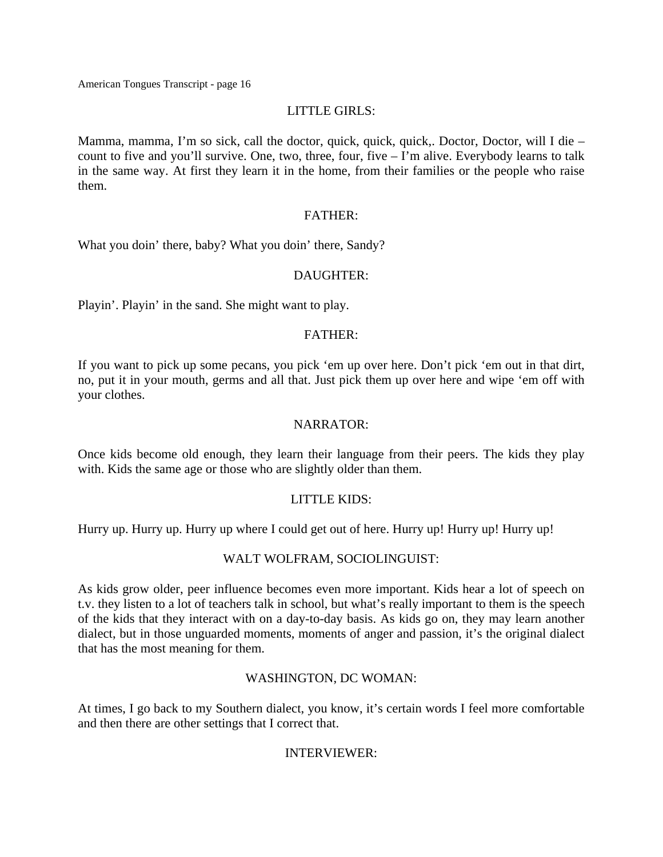### LITTLE GIRLS:

Mamma, mamma, I'm so sick, call the doctor, quick, quick, quick,. Doctor, Doctor, will I die – count to five and you'll survive. One, two, three, four, five – I'm alive. Everybody learns to talk in the same way. At first they learn it in the home, from their families or the people who raise them.

#### FATHER:

What you doin' there, baby? What you doin' there, Sandy?

### DAUGHTER:

Playin'. Playin' in the sand. She might want to play.

#### FATHER:

If you want to pick up some pecans, you pick 'em up over here. Don't pick 'em out in that dirt, no, put it in your mouth, germs and all that. Just pick them up over here and wipe 'em off with your clothes.

#### NARRATOR:

Once kids become old enough, they learn their language from their peers. The kids they play with. Kids the same age or those who are slightly older than them.

### LITTLE KIDS:

Hurry up. Hurry up. Hurry up where I could get out of here. Hurry up! Hurry up! Hurry up!

### WALT WOLFRAM, SOCIOLINGUIST:

As kids grow older, peer influence becomes even more important. Kids hear a lot of speech on t.v. they listen to a lot of teachers talk in school, but what's really important to them is the speech of the kids that they interact with on a day-to-day basis. As kids go on, they may learn another dialect, but in those unguarded moments, moments of anger and passion, it's the original dialect that has the most meaning for them.

### WASHINGTON, DC WOMAN:

At times, I go back to my Southern dialect, you know, it's certain words I feel more comfortable and then there are other settings that I correct that.

### INTERVIEWER: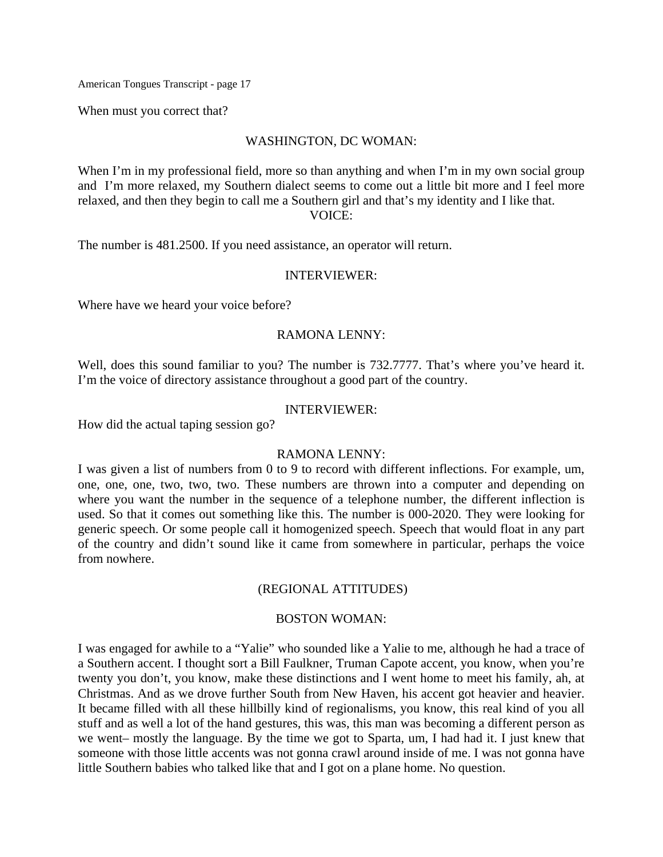When must you correct that?

#### WASHINGTON, DC WOMAN:

When I'm in my professional field, more so than anything and when I'm in my own social group and I'm more relaxed, my Southern dialect seems to come out a little bit more and I feel more relaxed, and then they begin to call me a Southern girl and that's my identity and I like that. VOICE:

The number is 481.2500. If you need assistance, an operator will return.

#### INTERVIEWER:

Where have we heard your voice before?

#### RAMONA LENNY:

Well, does this sound familiar to you? The number is 732.7777. That's where you've heard it. I'm the voice of directory assistance throughout a good part of the country.

#### INTERVIEWER:

How did the actual taping session go?

#### RAMONA LENNY:

I was given a list of numbers from 0 to 9 to record with different inflections. For example, um, one, one, one, two, two, two. These numbers are thrown into a computer and depending on where you want the number in the sequence of a telephone number, the different inflection is used. So that it comes out something like this. The number is 000-2020. They were looking for generic speech. Or some people call it homogenized speech. Speech that would float in any part of the country and didn't sound like it came from somewhere in particular, perhaps the voice from nowhere.

#### (REGIONAL ATTITUDES)

#### BOSTON WOMAN:

I was engaged for awhile to a "Yalie" who sounded like a Yalie to me, although he had a trace of a Southern accent. I thought sort a Bill Faulkner, Truman Capote accent, you know, when you're twenty you don't, you know, make these distinctions and I went home to meet his family, ah, at Christmas. And as we drove further South from New Haven, his accent got heavier and heavier. It became filled with all these hillbilly kind of regionalisms, you know, this real kind of you all stuff and as well a lot of the hand gestures, this was, this man was becoming a different person as we went– mostly the language. By the time we got to Sparta, um, I had had it. I just knew that someone with those little accents was not gonna crawl around inside of me. I was not gonna have little Southern babies who talked like that and I got on a plane home. No question.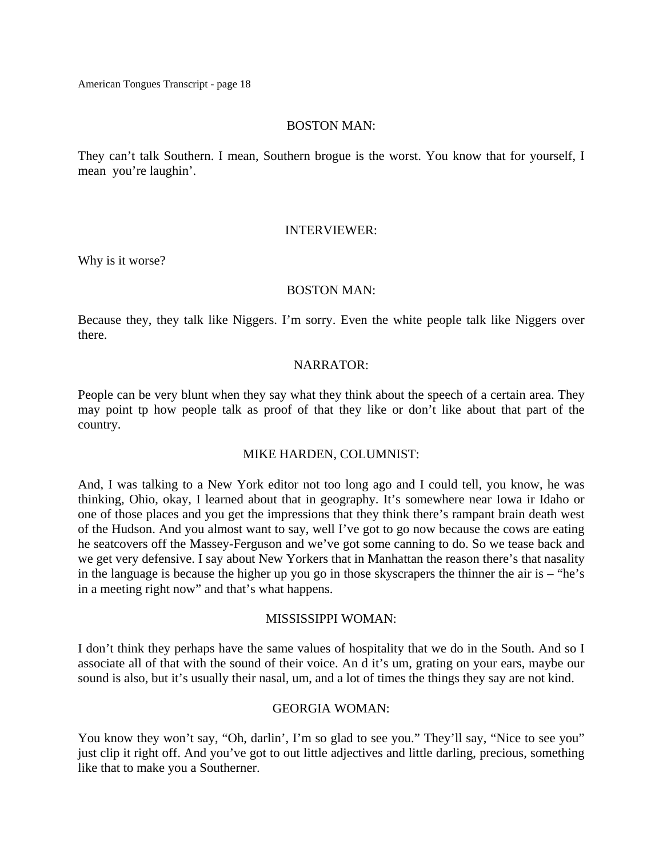#### BOSTON MAN:

They can't talk Southern. I mean, Southern brogue is the worst. You know that for yourself, I mean you're laughin'.

#### INTERVIEWER:

Why is it worse?

#### BOSTON MAN:

Because they, they talk like Niggers. I'm sorry. Even the white people talk like Niggers over there.

### NARRATOR:

People can be very blunt when they say what they think about the speech of a certain area. They may point tp how people talk as proof of that they like or don't like about that part of the country.

### MIKE HARDEN, COLUMNIST:

And, I was talking to a New York editor not too long ago and I could tell, you know, he was thinking, Ohio, okay, I learned about that in geography. It's somewhere near Iowa ir Idaho or one of those places and you get the impressions that they think there's rampant brain death west of the Hudson. And you almost want to say, well I've got to go now because the cows are eating he seatcovers off the Massey-Ferguson and we've got some canning to do. So we tease back and we get very defensive. I say about New Yorkers that in Manhattan the reason there's that nasality in the language is because the higher up you go in those skyscrapers the thinner the air is – "he's in a meeting right now" and that's what happens.

### MISSISSIPPI WOMAN:

I don't think they perhaps have the same values of hospitality that we do in the South. And so I associate all of that with the sound of their voice. An d it's um, grating on your ears, maybe our sound is also, but it's usually their nasal, um, and a lot of times the things they say are not kind.

## GEORGIA WOMAN:

You know they won't say, "Oh, darlin', I'm so glad to see you." They'll say, "Nice to see you" just clip it right off. And you've got to out little adjectives and little darling, precious, something like that to make you a Southerner.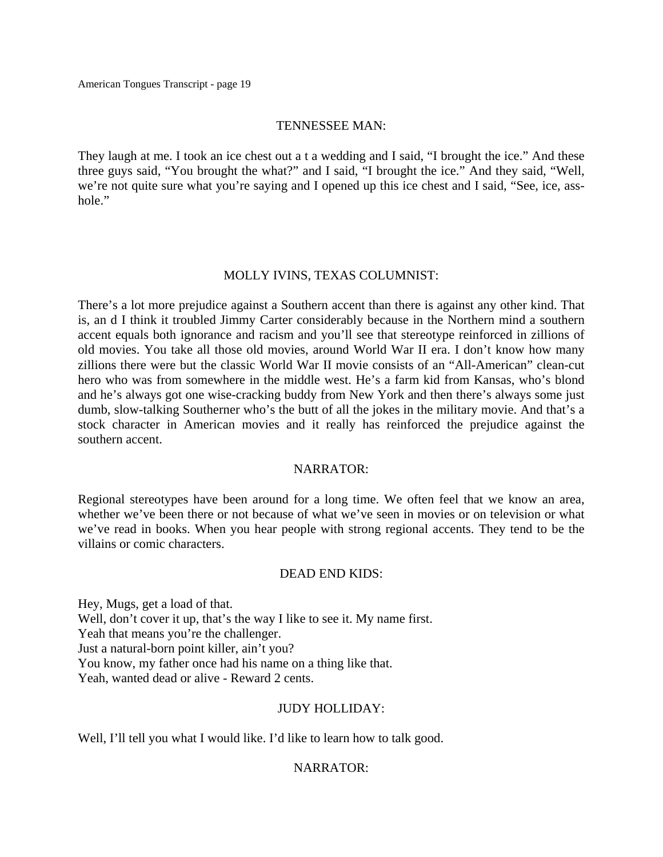#### TENNESSEE MAN:

They laugh at me. I took an ice chest out a t a wedding and I said, "I brought the ice." And these three guys said, "You brought the what?" and I said, "I brought the ice." And they said, "Well, we're not quite sure what you're saying and I opened up this ice chest and I said, "See, ice, asshole."

#### MOLLY IVINS, TEXAS COLUMNIST:

There's a lot more prejudice against a Southern accent than there is against any other kind. That is, an d I think it troubled Jimmy Carter considerably because in the Northern mind a southern accent equals both ignorance and racism and you'll see that stereotype reinforced in zillions of old movies. You take all those old movies, around World War II era. I don't know how many zillions there were but the classic World War II movie consists of an "All-American" clean-cut hero who was from somewhere in the middle west. He's a farm kid from Kansas, who's blond and he's always got one wise-cracking buddy from New York and then there's always some just dumb, slow-talking Southerner who's the butt of all the jokes in the military movie. And that's a stock character in American movies and it really has reinforced the prejudice against the southern accent.

### NARRATOR:

Regional stereotypes have been around for a long time. We often feel that we know an area, whether we've been there or not because of what we've seen in movies or on television or what we've read in books. When you hear people with strong regional accents. They tend to be the villains or comic characters.

#### DEAD END KIDS:

Hey, Mugs, get a load of that. Well, don't cover it up, that's the way I like to see it. My name first. Yeah that means you're the challenger. Just a natural-born point killer, ain't you? You know, my father once had his name on a thing like that. Yeah, wanted dead or alive - Reward 2 cents.

### JUDY HOLLIDAY:

Well, I'll tell you what I would like. I'd like to learn how to talk good.

### NARRATOR: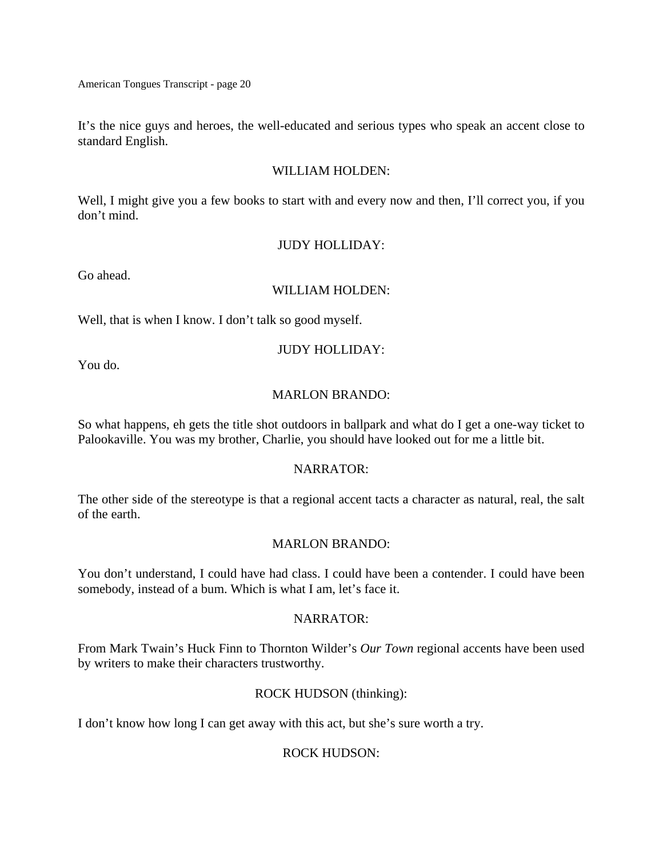It's the nice guys and heroes, the well-educated and serious types who speak an accent close to standard English.

### WILLIAM HOLDEN:

Well, I might give you a few books to start with and every now and then, I'll correct you, if you don't mind.

#### JUDY HOLLIDAY:

Go ahead.

#### WILLIAM HOLDEN:

Well, that is when I know. I don't talk so good myself.

### JUDY HOLLIDAY:

You do.

### MARLON BRANDO:

So what happens, eh gets the title shot outdoors in ballpark and what do I get a one-way ticket to Palookaville. You was my brother, Charlie, you should have looked out for me a little bit.

### NARRATOR:

The other side of the stereotype is that a regional accent tacts a character as natural, real, the salt of the earth.

# MARLON BRANDO:

You don't understand, I could have had class. I could have been a contender. I could have been somebody, instead of a bum. Which is what I am, let's face it.

### NARRATOR:

From Mark Twain's Huck Finn to Thornton Wilder's *Our Town* regional accents have been used by writers to make their characters trustworthy.

# ROCK HUDSON (thinking):

I don't know how long I can get away with this act, but she's sure worth a try.

# ROCK HUDSON: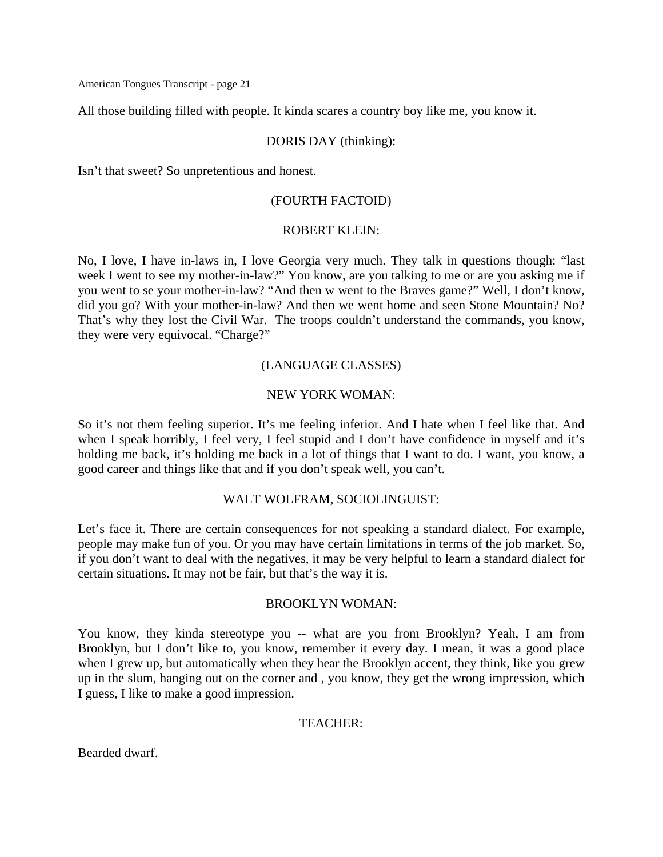All those building filled with people. It kinda scares a country boy like me, you know it.

# DORIS DAY (thinking):

Isn't that sweet? So unpretentious and honest.

# (FOURTH FACTOID)

#### ROBERT KLEIN:

No, I love, I have in-laws in, I love Georgia very much. They talk in questions though: "last week I went to see my mother-in-law?" You know, are you talking to me or are you asking me if you went to se your mother-in-law? "And then w went to the Braves game?" Well, I don't know, did you go? With your mother-in-law? And then we went home and seen Stone Mountain? No? That's why they lost the Civil War. The troops couldn't understand the commands, you know, they were very equivocal. "Charge?"

# (LANGUAGE CLASSES)

# NEW YORK WOMAN:

So it's not them feeling superior. It's me feeling inferior. And I hate when I feel like that. And when I speak horribly, I feel very, I feel stupid and I don't have confidence in myself and it's holding me back, it's holding me back in a lot of things that I want to do. I want, you know, a good career and things like that and if you don't speak well, you can't.

### WALT WOLFRAM, SOCIOLINGUIST:

Let's face it. There are certain consequences for not speaking a standard dialect. For example, people may make fun of you. Or you may have certain limitations in terms of the job market. So, if you don't want to deal with the negatives, it may be very helpful to learn a standard dialect for certain situations. It may not be fair, but that's the way it is.

#### BROOKLYN WOMAN:

You know, they kinda stereotype you -- what are you from Brooklyn? Yeah, I am from Brooklyn, but I don't like to, you know, remember it every day. I mean, it was a good place when I grew up, but automatically when they hear the Brooklyn accent, they think, like you grew up in the slum, hanging out on the corner and , you know, they get the wrong impression, which I guess, I like to make a good impression.

### TEACHER:

Bearded dwarf.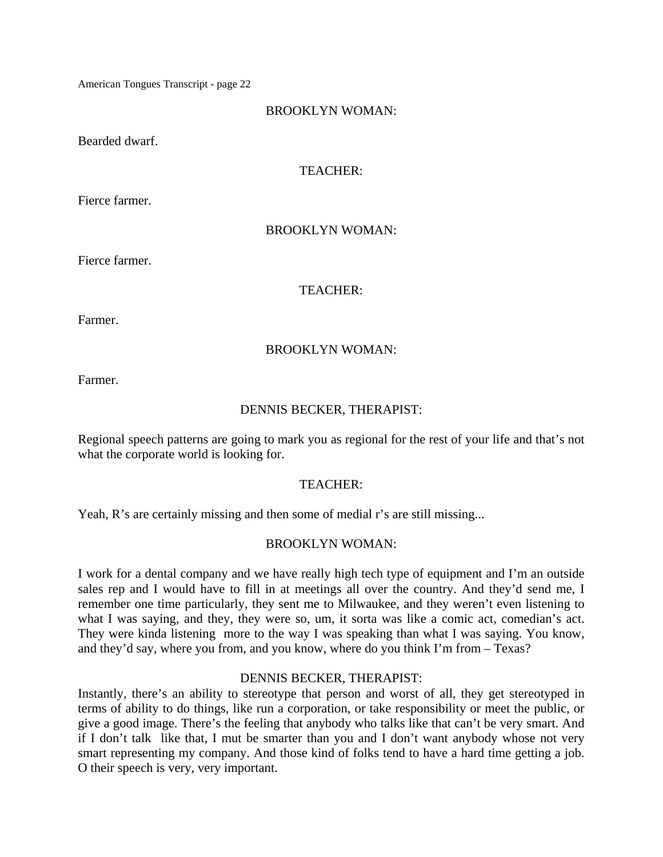# BROOKLYN WOMAN:

Bearded dwarf.

# TEACHER:

Fierce farmer.

# BROOKLYN WOMAN:

Fierce farmer.

# TEACHER:

Farmer.

# BROOKLYN WOMAN:

Farmer.

# DENNIS BECKER, THERAPIST:

Regional speech patterns are going to mark you as regional for the rest of your life and that's not what the corporate world is looking for.

### TEACHER:

Yeah, R's are certainly missing and then some of medial r's are still missing...

# BROOKLYN WOMAN:

I work for a dental company and we have really high tech type of equipment and I'm an outside sales rep and I would have to fill in at meetings all over the country. And they'd send me, I remember one time particularly, they sent me to Milwaukee, and they weren't even listening to what I was saying, and they, they were so, um, it sorta was like a comic act, comedian's act. They were kinda listening more to the way I was speaking than what I was saying. You know, and they'd say, where you from, and you know, where do you think I'm from – Texas?

### DENNIS BECKER, THERAPIST:

Instantly, there's an ability to stereotype that person and worst of all, they get stereotyped in terms of ability to do things, like run a corporation, or take responsibility or meet the public, or give a good image. There's the feeling that anybody who talks like that can't be very smart. And if I don't talk like that, I mut be smarter than you and I don't want anybody whose not very smart representing my company. And those kind of folks tend to have a hard time getting a job. O their speech is very, very important.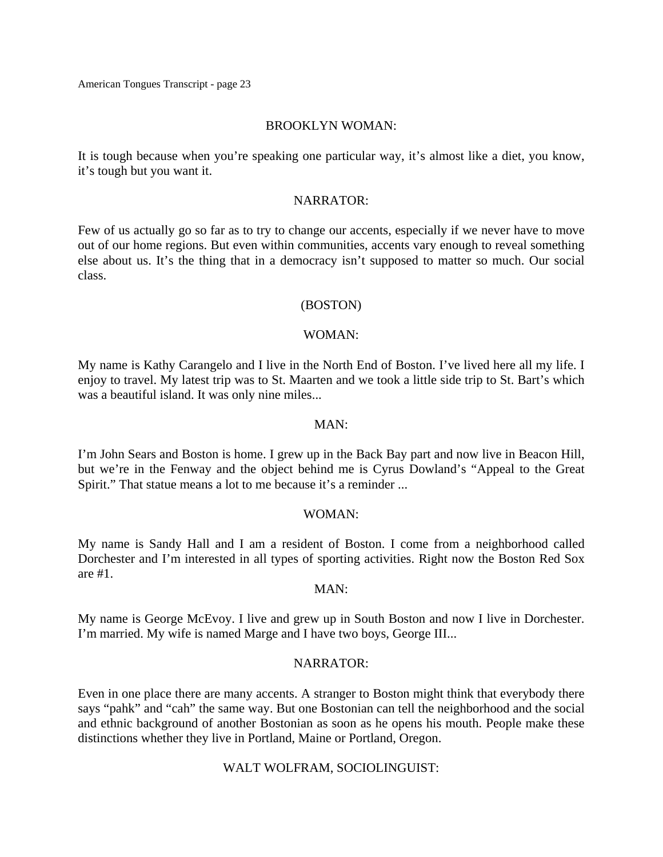#### BROOKLYN WOMAN:

It is tough because when you're speaking one particular way, it's almost like a diet, you know, it's tough but you want it.

#### NARRATOR:

Few of us actually go so far as to try to change our accents, especially if we never have to move out of our home regions. But even within communities, accents vary enough to reveal something else about us. It's the thing that in a democracy isn't supposed to matter so much. Our social class.

#### (BOSTON)

#### WOMAN:

My name is Kathy Carangelo and I live in the North End of Boston. I've lived here all my life. I enjoy to travel. My latest trip was to St. Maarten and we took a little side trip to St. Bart's which was a beautiful island. It was only nine miles...

#### $MAN$

I'm John Sears and Boston is home. I grew up in the Back Bay part and now live in Beacon Hill, but we're in the Fenway and the object behind me is Cyrus Dowland's "Appeal to the Great Spirit." That statue means a lot to me because it's a reminder ...

#### WOMAN:

My name is Sandy Hall and I am a resident of Boston. I come from a neighborhood called Dorchester and I'm interested in all types of sporting activities. Right now the Boston Red Sox are #1.

#### MAN:

My name is George McEvoy. I live and grew up in South Boston and now I live in Dorchester. I'm married. My wife is named Marge and I have two boys, George III...

### NARRATOR:

Even in one place there are many accents. A stranger to Boston might think that everybody there says "pahk" and "cah" the same way. But one Bostonian can tell the neighborhood and the social and ethnic background of another Bostonian as soon as he opens his mouth. People make these distinctions whether they live in Portland, Maine or Portland, Oregon.

### WALT WOLFRAM, SOCIOLINGUIST: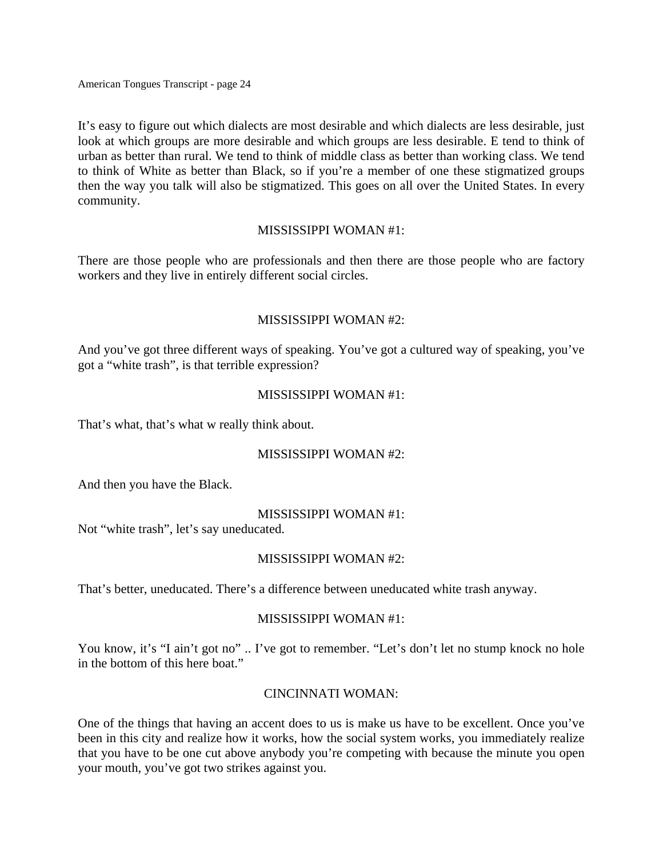It's easy to figure out which dialects are most desirable and which dialects are less desirable, just look at which groups are more desirable and which groups are less desirable. E tend to think of urban as better than rural. We tend to think of middle class as better than working class. We tend to think of White as better than Black, so if you're a member of one these stigmatized groups then the way you talk will also be stigmatized. This goes on all over the United States. In every community.

### MISSISSIPPI WOMAN #1:

There are those people who are professionals and then there are those people who are factory workers and they live in entirely different social circles.

### MISSISSIPPI WOMAN #2:

And you've got three different ways of speaking. You've got a cultured way of speaking, you've got a "white trash", is that terrible expression?

#### MISSISSIPPI WOMAN #1:

That's what, that's what w really think about.

### MISSISSIPPI WOMAN #2:

And then you have the Black.

### MISSISSIPPI WOMAN #1:

Not "white trash", let's say uneducated.

### MISSISSIPPI WOMAN #2:

That's better, uneducated. There's a difference between uneducated white trash anyway.

#### MISSISSIPPI WOMAN #1:

You know, it's "I ain't got no" .. I've got to remember. "Let's don't let no stump knock no hole in the bottom of this here boat."

### CINCINNATI WOMAN:

One of the things that having an accent does to us is make us have to be excellent. Once you've been in this city and realize how it works, how the social system works, you immediately realize that you have to be one cut above anybody you're competing with because the minute you open your mouth, you've got two strikes against you.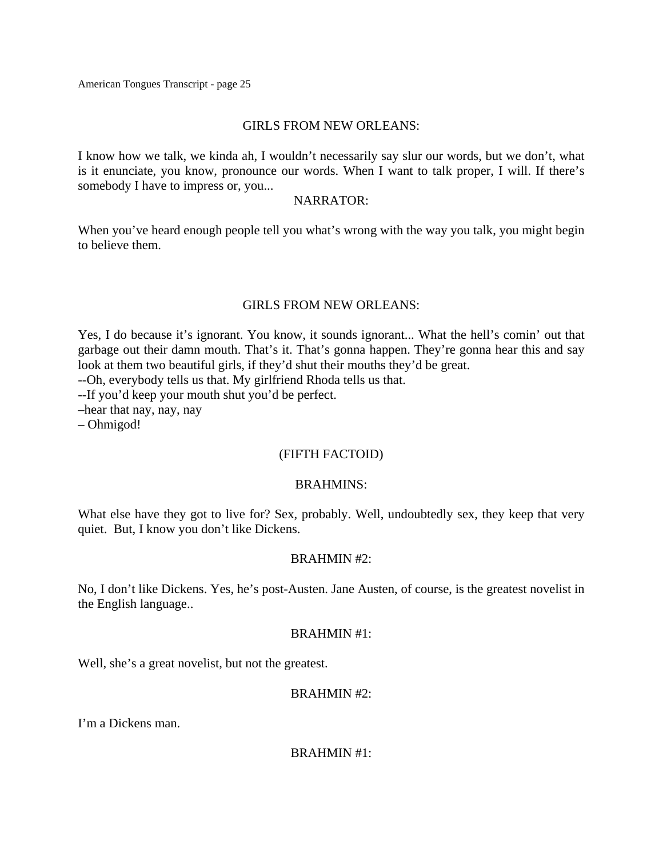#### GIRLS FROM NEW ORLEANS:

I know how we talk, we kinda ah, I wouldn't necessarily say slur our words, but we don't, what is it enunciate, you know, pronounce our words. When I want to talk proper, I will. If there's somebody I have to impress or, you...

#### NARRATOR:

When you've heard enough people tell you what's wrong with the way you talk, you might begin to believe them.

#### GIRLS FROM NEW ORLEANS:

Yes, I do because it's ignorant. You know, it sounds ignorant... What the hell's comin' out that garbage out their damn mouth. That's it. That's gonna happen. They're gonna hear this and say look at them two beautiful girls, if they'd shut their mouths they'd be great.

--Oh, everybody tells us that. My girlfriend Rhoda tells us that.

--If you'd keep your mouth shut you'd be perfect.

–hear that nay, nay, nay

– Ohmigod!

### (FIFTH FACTOID)

### BRAHMINS:

What else have they got to live for? Sex, probably. Well, undoubtedly sex, they keep that very quiet. But, I know you don't like Dickens.

### BRAHMIN #2:

No, I don't like Dickens. Yes, he's post-Austen. Jane Austen, of course, is the greatest novelist in the English language..

#### BRAHMIN #1:

Well, she's a great novelist, but not the greatest.

### BRAHMIN #2:

I'm a Dickens man.

BRAHMIN #1: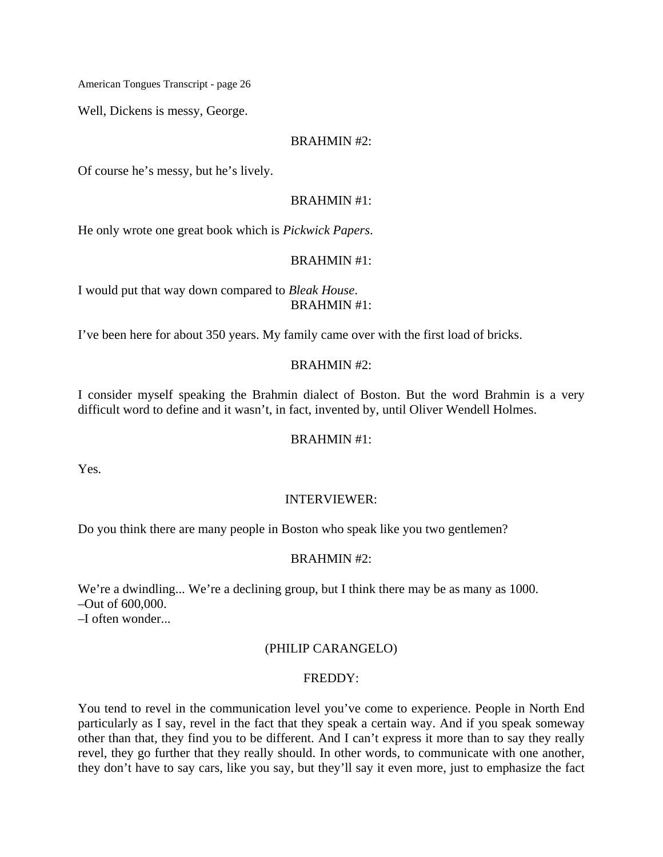Well, Dickens is messy, George.

#### BRAHMIN #2:

Of course he's messy, but he's lively.

#### BRAHMIN #1:

He only wrote one great book which is *Pickwick Papers*.

#### BRAHMIN #1:

I would put that way down compared to *Bleak House*. BRAHMIN #1:

I've been here for about 350 years. My family came over with the first load of bricks.

### BRAHMIN #2:

I consider myself speaking the Brahmin dialect of Boston. But the word Brahmin is a very difficult word to define and it wasn't, in fact, invented by, until Oliver Wendell Holmes.

### BRAHMIN #1:

Yes.

### INTERVIEWER:

Do you think there are many people in Boston who speak like you two gentlemen?

### BRAHMIN #2:

We're a dwindling... We're a declining group, but I think there may be as many as 1000. –Out of 600,000.

–I often wonder...

# (PHILIP CARANGELO)

### FREDDY:

You tend to revel in the communication level you've come to experience. People in North End particularly as I say, revel in the fact that they speak a certain way. And if you speak someway other than that, they find you to be different. And I can't express it more than to say they really revel, they go further that they really should. In other words, to communicate with one another, they don't have to say cars, like you say, but they'll say it even more, just to emphasize the fact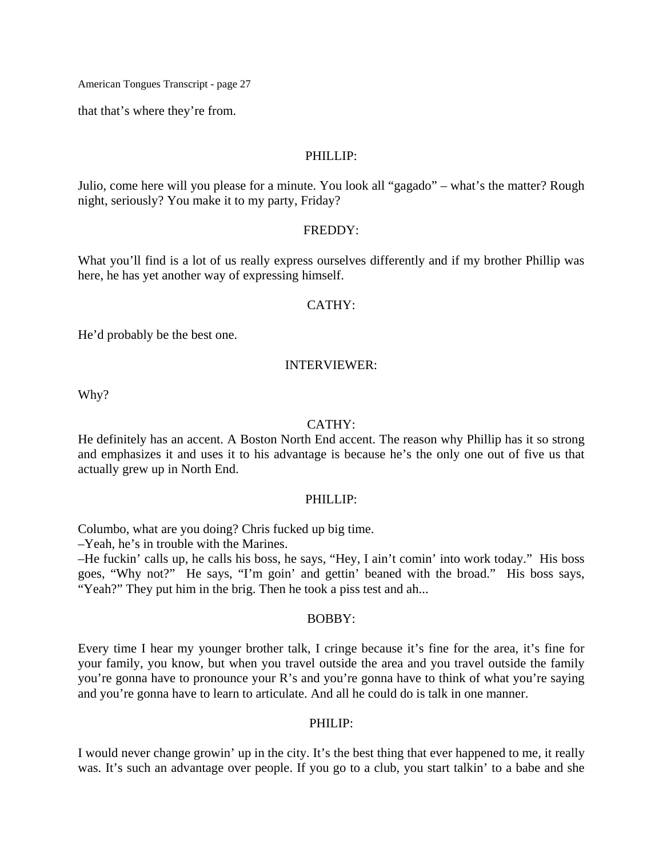that that's where they're from.

#### PHILLIP:

Julio, come here will you please for a minute. You look all "gagado" – what's the matter? Rough night, seriously? You make it to my party, Friday?

#### FREDDY:

What you'll find is a lot of us really express ourselves differently and if my brother Phillip was here, he has yet another way of expressing himself.

### CATHY:

He'd probably be the best one.

#### INTERVIEWER:

Why?

#### CATHY:

He definitely has an accent. A Boston North End accent. The reason why Phillip has it so strong and emphasizes it and uses it to his advantage is because he's the only one out of five us that actually grew up in North End.

#### PHILLIP:

Columbo, what are you doing? Chris fucked up big time.

–Yeah, he's in trouble with the Marines.

–He fuckin' calls up, he calls his boss, he says, "Hey, I ain't comin' into work today." His boss goes, "Why not?" He says, "I'm goin' and gettin' beaned with the broad." His boss says, "Yeah?" They put him in the brig. Then he took a piss test and ah...

### BOBBY:

Every time I hear my younger brother talk, I cringe because it's fine for the area, it's fine for your family, you know, but when you travel outside the area and you travel outside the family you're gonna have to pronounce your R's and you're gonna have to think of what you're saying and you're gonna have to learn to articulate. And all he could do is talk in one manner.

#### PHILIP:

I would never change growin' up in the city. It's the best thing that ever happened to me, it really was. It's such an advantage over people. If you go to a club, you start talkin' to a babe and she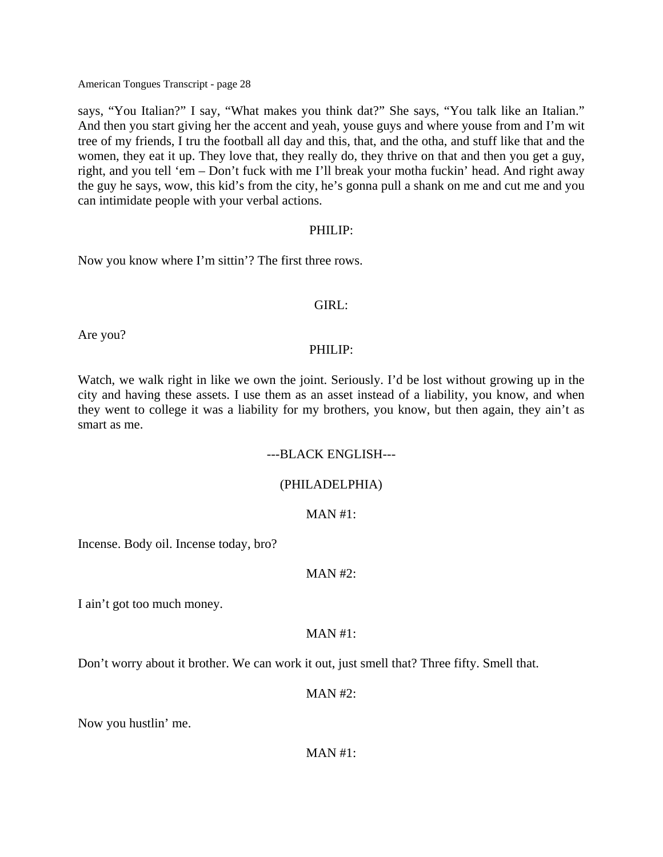says, "You Italian?" I say, "What makes you think dat?" She says, "You talk like an Italian." And then you start giving her the accent and yeah, youse guys and where youse from and I'm wit tree of my friends, I tru the football all day and this, that, and the otha, and stuff like that and the women, they eat it up. They love that, they really do, they thrive on that and then you get a guy, right, and you tell 'em – Don't fuck with me I'll break your motha fuckin' head. And right away the guy he says, wow, this kid's from the city, he's gonna pull a shank on me and cut me and you can intimidate people with your verbal actions.

#### PHILIP:

Now you know where I'm sittin'? The first three rows.

### GIRL:

Are you?

### PHILIP:

Watch, we walk right in like we own the joint. Seriously. I'd be lost without growing up in the city and having these assets. I use them as an asset instead of a liability, you know, and when they went to college it was a liability for my brothers, you know, but then again, they ain't as smart as me.

### ---BLACK ENGLISH---

### (PHILADELPHIA)

#### $MAN #1:$

Incense. Body oil. Incense today, bro?

### $MAN #2:$

I ain't got too much money.

### $MAN#1$ :

Don't worry about it brother. We can work it out, just smell that? Three fifty. Smell that.

MAN #2:

Now you hustlin' me.

 $MAN#1$ :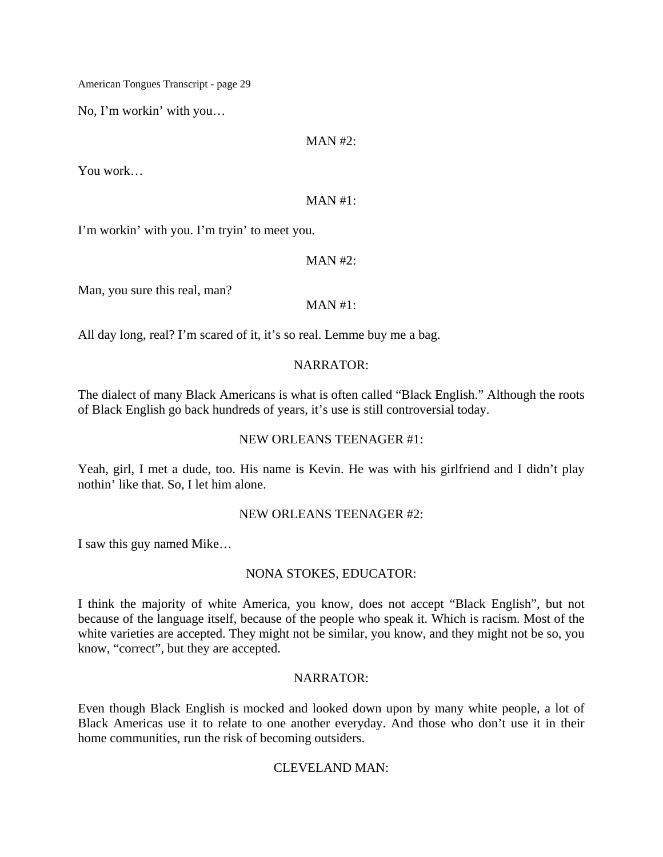No, I'm workin' with you…

 $MAN #2:$ 

You work…

#### $MAN #1:$

I'm workin' with you. I'm tryin' to meet you.

 $MAN #2:$ 

Man, you sure this real, man?

# MAN #1:

All day long, real? I'm scared of it, it's so real. Lemme buy me a bag.

### NARRATOR:

The dialect of many Black Americans is what is often called "Black English." Although the roots of Black English go back hundreds of years, it's use is still controversial today.

### NEW ORLEANS TEENAGER #1:

Yeah, girl, I met a dude, too. His name is Kevin. He was with his girlfriend and I didn't play nothin' like that. So, I let him alone.

### NEW ORLEANS TEENAGER #2:

I saw this guy named Mike…

### NONA STOKES, EDUCATOR:

I think the majority of white America, you know, does not accept "Black English", but not because of the language itself, because of the people who speak it. Which is racism. Most of the white varieties are accepted. They might not be similar, you know, and they might not be so, you know, "correct", but they are accepted.

### NARRATOR:

Even though Black English is mocked and looked down upon by many white people, a lot of Black Americas use it to relate to one another everyday. And those who don't use it in their home communities, run the risk of becoming outsiders.

### CLEVELAND MAN: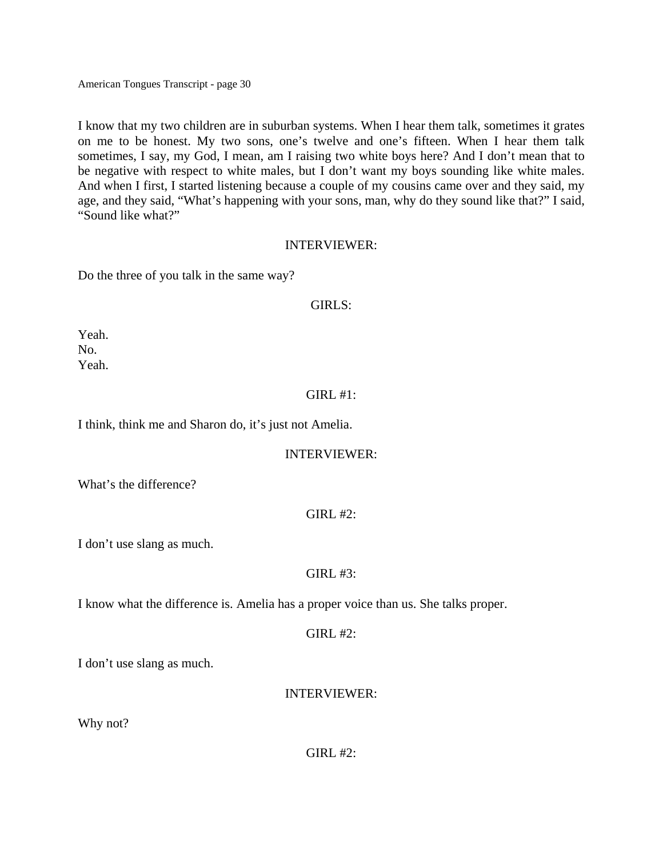I know that my two children are in suburban systems. When I hear them talk, sometimes it grates on me to be honest. My two sons, one's twelve and one's fifteen. When I hear them talk sometimes, I say, my God, I mean, am I raising two white boys here? And I don't mean that to be negative with respect to white males, but I don't want my boys sounding like white males. And when I first, I started listening because a couple of my cousins came over and they said, my age, and they said, "What's happening with your sons, man, why do they sound like that?" I said, "Sound like what?"

#### INTERVIEWER:

Do the three of you talk in the same way?

### GIRLS:

Yeah. No. Yeah.

# GIRL #1:

I think, think me and Sharon do, it's just not Amelia.

### INTERVIEWER:

What's the difference?

### $GIRL$ #2:

I don't use slang as much.

### $GIRL$ #3:

I know what the difference is. Amelia has a proper voice than us. She talks proper.

 $GIRL \#2$ :

I don't use slang as much.

INTERVIEWER:

Why not?

 $GIRL$ #2: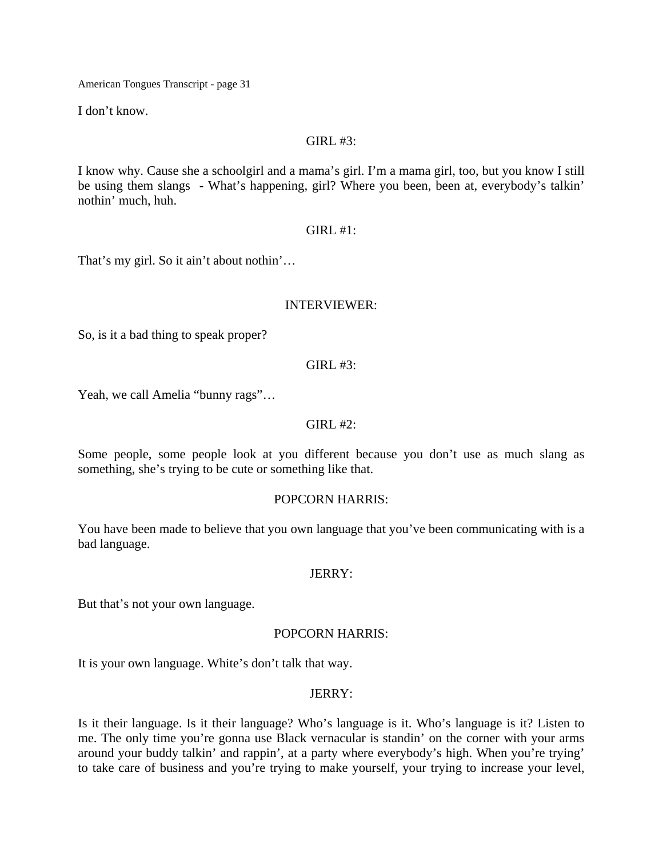I don't know.

#### $GIRL$ #3:

I know why. Cause she a schoolgirl and a mama's girl. I'm a mama girl, too, but you know I still be using them slangs - What's happening, girl? Where you been, been at, everybody's talkin' nothin' much, huh.

GIRL #1:

That's my girl. So it ain't about nothin'…

#### INTERVIEWER:

So, is it a bad thing to speak proper?

 $GIRL$ #3:

Yeah, we call Amelia "bunny rags"…

### $GIRL$ #2:

Some people, some people look at you different because you don't use as much slang as something, she's trying to be cute or something like that.

### POPCORN HARRIS:

You have been made to believe that you own language that you've been communicating with is a bad language.

### JERRY:

But that's not your own language.

### POPCORN HARRIS:

It is your own language. White's don't talk that way.

### JERRY:

Is it their language. Is it their language? Who's language is it. Who's language is it? Listen to me. The only time you're gonna use Black vernacular is standin' on the corner with your arms around your buddy talkin' and rappin', at a party where everybody's high. When you're trying' to take care of business and you're trying to make yourself, your trying to increase your level,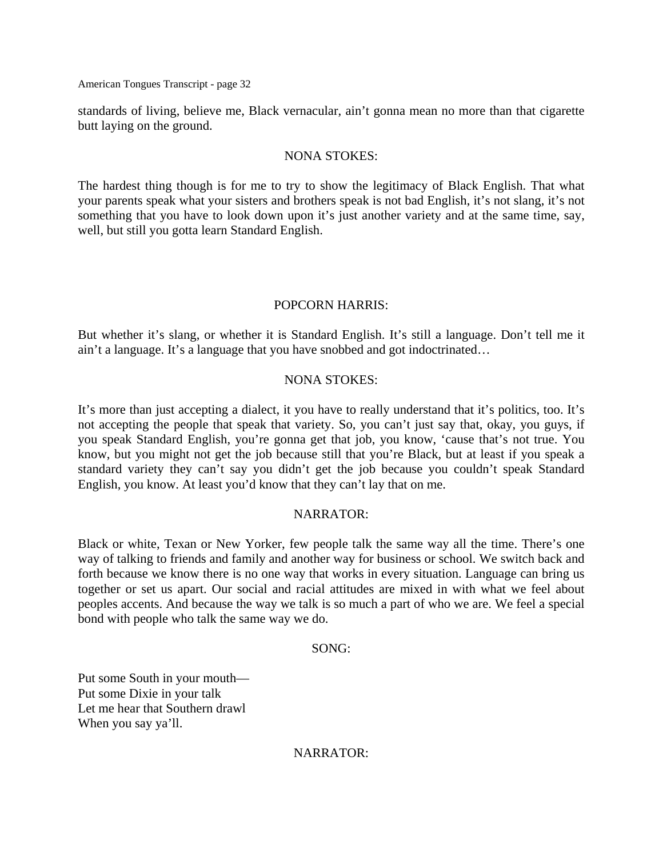standards of living, believe me, Black vernacular, ain't gonna mean no more than that cigarette butt laying on the ground.

#### NONA STOKES:

The hardest thing though is for me to try to show the legitimacy of Black English. That what your parents speak what your sisters and brothers speak is not bad English, it's not slang, it's not something that you have to look down upon it's just another variety and at the same time, say, well, but still you gotta learn Standard English.

### POPCORN HARRIS:

But whether it's slang, or whether it is Standard English. It's still a language. Don't tell me it ain't a language. It's a language that you have snobbed and got indoctrinated…

#### NONA STOKES:

It's more than just accepting a dialect, it you have to really understand that it's politics, too. It's not accepting the people that speak that variety. So, you can't just say that, okay, you guys, if you speak Standard English, you're gonna get that job, you know, 'cause that's not true. You know, but you might not get the job because still that you're Black, but at least if you speak a standard variety they can't say you didn't get the job because you couldn't speak Standard English, you know. At least you'd know that they can't lay that on me.

#### NARRATOR:

Black or white, Texan or New Yorker, few people talk the same way all the time. There's one way of talking to friends and family and another way for business or school. We switch back and forth because we know there is no one way that works in every situation. Language can bring us together or set us apart. Our social and racial attitudes are mixed in with what we feel about peoples accents. And because the way we talk is so much a part of who we are. We feel a special bond with people who talk the same way we do.

#### SONG:

Put some South in your mouth— Put some Dixie in your talk Let me hear that Southern drawl When you say ya'll.

NARRATOR: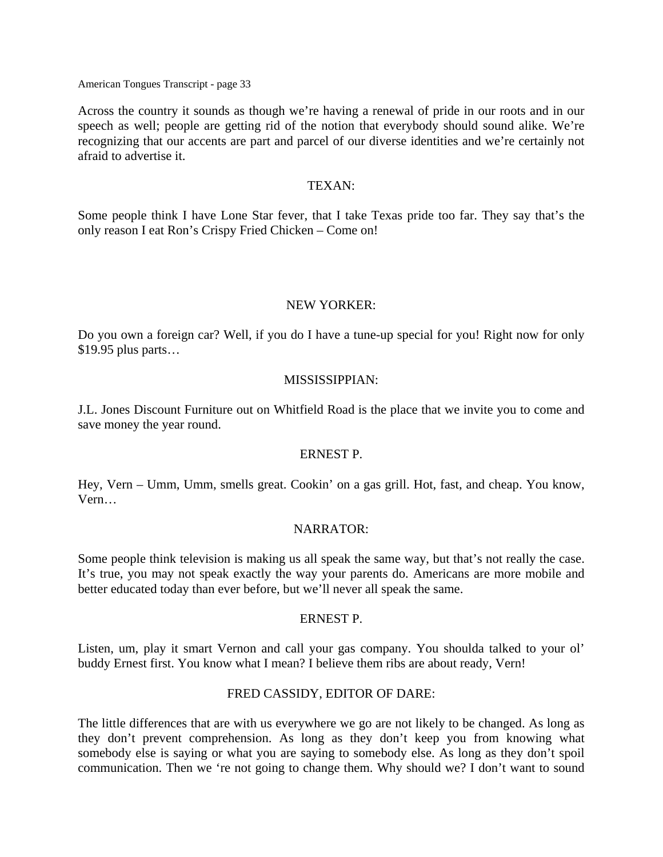Across the country it sounds as though we're having a renewal of pride in our roots and in our speech as well; people are getting rid of the notion that everybody should sound alike. We're recognizing that our accents are part and parcel of our diverse identities and we're certainly not afraid to advertise it.

#### TEXAN:

Some people think I have Lone Star fever, that I take Texas pride too far. They say that's the only reason I eat Ron's Crispy Fried Chicken – Come on!

#### NEW YORKER:

Do you own a foreign car? Well, if you do I have a tune-up special for you! Right now for only \$19.95 plus parts…

#### MISSISSIPPIAN:

J.L. Jones Discount Furniture out on Whitfield Road is the place that we invite you to come and save money the year round.

#### ERNEST P.

Hey, Vern – Umm, Umm, smells great. Cookin' on a gas grill. Hot, fast, and cheap. You know, Vern…

#### NARRATOR:

Some people think television is making us all speak the same way, but that's not really the case. It's true, you may not speak exactly the way your parents do. Americans are more mobile and better educated today than ever before, but we'll never all speak the same.

### ERNEST P.

Listen, um, play it smart Vernon and call your gas company. You shoulda talked to your ol' buddy Ernest first. You know what I mean? I believe them ribs are about ready, Vern!

#### FRED CASSIDY, EDITOR OF DARE:

The little differences that are with us everywhere we go are not likely to be changed. As long as they don't prevent comprehension. As long as they don't keep you from knowing what somebody else is saying or what you are saying to somebody else. As long as they don't spoil communication. Then we 're not going to change them. Why should we? I don't want to sound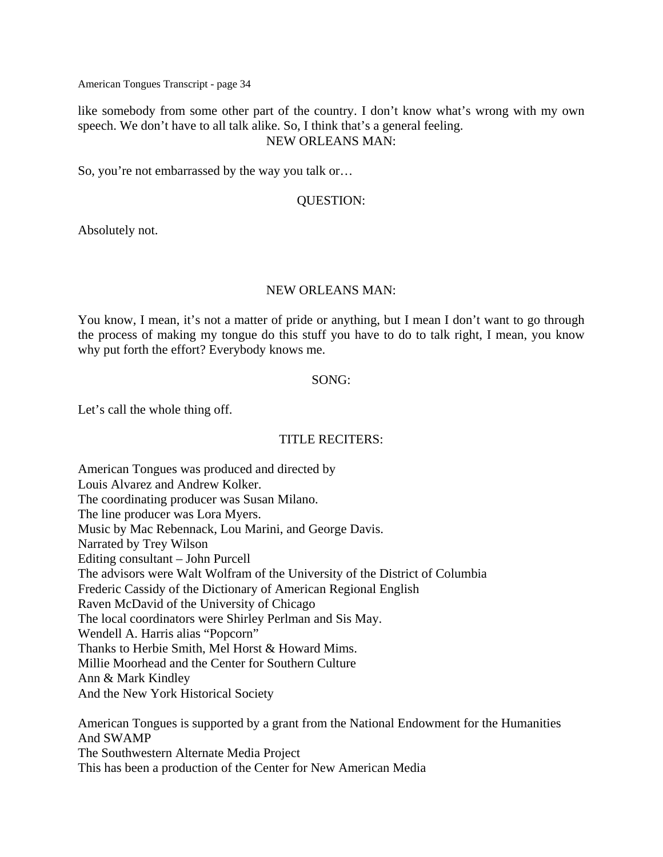like somebody from some other part of the country. I don't know what's wrong with my own speech. We don't have to all talk alike. So, I think that's a general feeling. NEW ORLEANS MAN:

So, you're not embarrassed by the way you talk or…

### QUESTION:

Absolutely not.

#### NEW ORLEANS MAN:

You know, I mean, it's not a matter of pride or anything, but I mean I don't want to go through the process of making my tongue do this stuff you have to do to talk right, I mean, you know why put forth the effort? Everybody knows me.

#### SONG:

Let's call the whole thing off.

### TITLE RECITERS:

American Tongues was produced and directed by Louis Alvarez and Andrew Kolker. The coordinating producer was Susan Milano. The line producer was Lora Myers. Music by Mac Rebennack, Lou Marini, and George Davis. Narrated by Trey Wilson Editing consultant – John Purcell The advisors were Walt Wolfram of the University of the District of Columbia Frederic Cassidy of the Dictionary of American Regional English Raven McDavid of the University of Chicago The local coordinators were Shirley Perlman and Sis May. Wendell A. Harris alias "Popcorn" Thanks to Herbie Smith, Mel Horst & Howard Mims. Millie Moorhead and the Center for Southern Culture Ann & Mark Kindley And the New York Historical Society

American Tongues is supported by a grant from the National Endowment for the Humanities And SWAMP The Southwestern Alternate Media Project This has been a production of the Center for New American Media